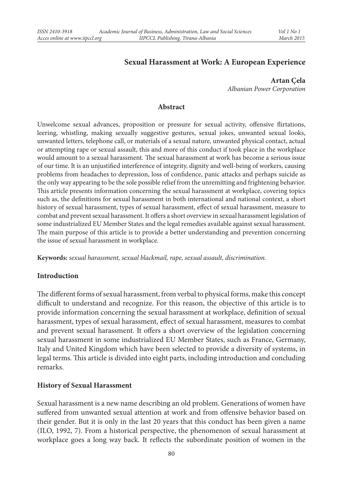## **Sexual Harassment at Work: A European Experience**

**Artan Çela** *Albanian Power Corporation*

#### **Abstract**

Unwelcome sexual advances, proposition or pressure for sexual activity, offensive flirtations, leering, whistling, making sexually suggestive gestures, sexual jokes, unwanted sexual looks, unwanted letters, telephone call, or materials of a sexual nature, unwanted physical contact, actual or attempting rape or sexual assault, this and more of this conduct if took place in the workplace would amount to a sexual harassment. The sexual harassment at work has become a serious issue of our time. It is an unjustified interference of integrity, dignity and well-being of workers, causing problems from headaches to depression, loss of confidence, panic attacks and perhaps suicide as the only way appearing to be the sole possible relief from the unremitting and frightening behavior. This article presents information concerning the sexual harassment at workplace, covering topics such as, the definitions for sexual harassment in both international and national context, a short history of sexual harassment, types of sexual harassment, effect of sexual harassment, measure to combat and prevent sexual harassment. It offers a short overview in sexual harassment legislation of some industrialized EU Member States and the legal remedies available against sexual harassment. The main purpose of this article is to provide a better understanding and prevention concerning the issue of sexual harassment in workplace.

**Keywords:** *sexual harassment, sexual blackmail, rape, sexual assault, discrimination.*

#### **Introduction**

The different forms of sexual harassment, from verbal to physical forms, make this concept difficult to understand and recognize. For this reason, the objective of this article is to provide information concerning the sexual harassment at workplace, definition of sexual harassment, types of sexual harassment, effect of sexual harassment, measures to combat and prevent sexual harassment. It offers a short overview of the legislation concerning sexual harassment in some industrialized EU Member States, such as France, Germany, Italy and United Kingdom which have been selected to provide a diversity of systems, in legal terms. This article is divided into eight parts, including introduction and concluding remarks.

#### **History of Sexual Harassment**

Sexual harassment is a new name describing an old problem. Generations of women have suffered from unwanted sexual attention at work and from offensive behavior based on their gender. But it is only in the last 20 years that this conduct has been given a name (ILO, 1992, 7). From a historical perspective, the phenomenon of sexual harassment at workplace goes a long way back. It reflects the subordinate position of women in the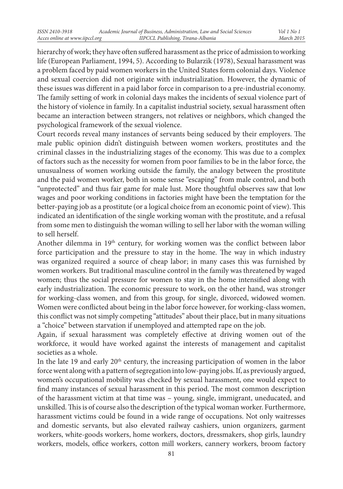hierarchy of work; they have often suffered harassment as the price of admission to working life (European Parliament, 1994, 5). According to Bularzik (1978), Sexual harassment was a problem faced by paid women workers in the United States form colonial days. Violence and sexual coercion did not originate with industrialization. However, the dynamic of these issues was different in a paid labor force in comparison to a pre-industrial economy. The family setting of work in colonial days makes the incidents of sexual violence part of the history of violence in family. In a capitalist industrial society, sexual harassment often became an interaction between strangers, not relatives or neighbors, which changed the psychological framework of the sexual violence.

Court records reveal many instances of servants being seduced by their employers. The male public opinion didn't distinguish between women workers, prostitutes and the criminal classes in the industrializing stages of the economy. This was due to a complex of factors such as the necessity for women from poor families to be in the labor force, the unusualness of women working outside the family, the analogy between the prostitute and the paid women worker, both in some sense "escaping" from male control, and both "unprotected" and thus fair game for male lust. More thoughtful observes saw that low wages and poor working conditions in factories might have been the temptation for the better-paying job as a prostitute (or a logical choice from an economic point of view). This indicated an identification of the single working woman with the prostitute, and a refusal from some men to distinguish the woman willing to sell her labor with the woman willing to sell herself.

Another dilemma in 19th century, for working women was the conflict between labor force participation and the pressure to stay in the home. The way in which industry was organized required a source of cheap labor; in many cases this was furnished by women workers. But traditional masculine control in the family was threatened by waged women; thus the social pressure for women to stay in the home intensified along with early industrialization. The economic pressure to work, on the other hand, was stronger for working-class women, and from this group, for single, divorced, widowed women. Women were conflicted about being in the labor force however, for working-class women, this conflict was not simply competing "attitudes" about their place, but in many situations a "choice" between starvation if unemployed and attempted rape on the job.

Again, if sexual harassment was completely effective at driving women out of the workforce, it would have worked against the interests of management and capitalist societies as a whole.

In the late 19 and early 20<sup>th</sup> century, the increasing participation of women in the labor force went along with a pattern of segregation into low-paying jobs. If, as previously argued, women's occupational mobility was checked by sexual harassment, one would expect to find many instances of sexual harassment in this period. The most common description of the harassment victim at that time was – young, single, immigrant, uneducated, and unskilled. This is of course also the description of the typical woman worker. Furthermore, harassment victims could be found in a wide range of occupations. Not only waitresses and domestic servants, but also elevated railway cashiers, union organizers, garment workers, white-goods workers, home workers, doctors, dressmakers, shop girls, laundry workers, models, office workers, cotton mill workers, cannery workers, broom factory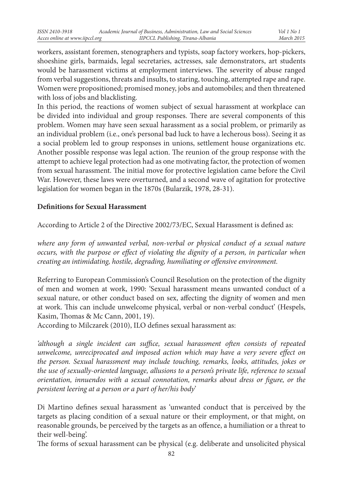workers, assistant foremen, stenographers and typists, soap factory workers, hop-pickers, shoeshine girls, barmaids, legal secretaries, actresses, sale demonstrators, art students would be harassment victims at employment interviews. The severity of abuse ranged from verbal suggestions, threats and insults, to staring, touching, attempted rape and rape. Women were propositioned; promised money, jobs and automobiles; and then threatened with loss of jobs and blacklisting.

In this period, the reactions of women subject of sexual harassment at workplace can be divided into individual and group responses. There are several components of this problem. Women may have seen sexual harassment as a social problem, or primarily as an individual problem (i.e., one's personal bad luck to have a lecherous boss). Seeing it as a social problem led to group responses in unions, settlement house organizations etc. Another possible response was legal action. The reunion of the group response with the attempt to achieve legal protection had as one motivating factor, the protection of women from sexual harassment. The initial move for protective legislation came before the Civil War. However, these laws were overturned, and a second wave of agitation for protective legislation for women began in the 1870s (Bularzik, 1978, 28-31).

## **Definitions for Sexual Harassment**

According to Article 2 of the Directive 2002/73/EC, Sexual Harassment is defined as:

where any form of unwanted verbal, non-verbal or physical conduct of a sexual nature *occurs, with the purpose or effect of violating the dignity of a person, in particular when creating an intimidating, hostile, degrading, humiliating or offensive environment.* 

Referring to European Commission's Council Resolution on the protection of the dignity of men and women at work, 1990: 'Sexual harassment means unwanted conduct of a sexual nature, or other conduct based on sex, affecting the dignity of women and men at work. This can include unwelcome physical, verbal or non-verbal conduct' (Hespels, Kasim, Thomas & Mc Cann, 2001, 19).

According to Milczarek (2010), ILO defines sexual harassment as:

*'although a single incident can suffice, sexual harassment often consists of repeated unwelcome, unreciprocated and imposed action which may have a very severe effect on the person. Sexual harassment may include touching, remarks, looks, attitudes, jokes or the use of sexually-oriented language, allusions to a person's private life, reference to sexual orientation, innuendos with a sexual connotation, remarks about dress or figure, or the persistent leering at a person or a part of her/his body*'

Di Martino defines sexual harassment as 'unwanted conduct that is perceived by the targets as placing condition of a sexual nature or their employment, or that might, on reasonable grounds, be perceived by the targets as an offence, a humiliation or a threat to their well-being'.

The forms of sexual harassment can be physical (e.g. deliberate and unsolicited physical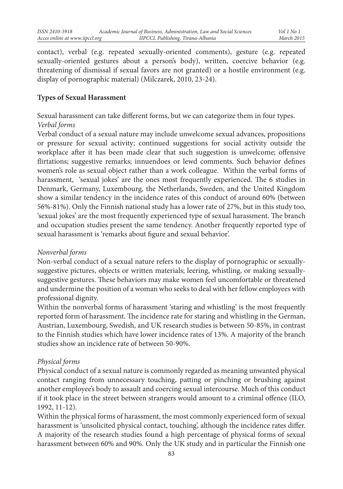contact), verbal (e.g. repeated sexually-oriented comments), gesture (e.g. repeated sexually-oriented gestures about a person's body), written, coercive behavior (e.g. threatening of dismissal if sexual favors are not granted) or a hostile environment (e.g. display of pornographic material) (Milczarek, 2010, 23-24).

### **Types of Sexual Harassment**

Sexual harassment can take different forms, but we can categorize them in four types. *Verbal forms*

Verbal conduct of a sexual nature may include unwelcome sexual advances, propositions or pressure for sexual activity; continued suggestions for social activity outside the workplace after it has been made clear that such suggestion is unwelcome; offensive flirtations; suggestive remarks; innuendoes or lewd comments. Such behavior defines women's role as sexual object rather than a work colleague. Within the verbal forms of harassment, 'sexual jokes' are the ones most frequently experienced. The 6 studies in Denmark, Germany, Luxembourg, the Netherlands, Sweden, and the United Kingdom show a similar tendency in the incidence rates of this conduct of around 60% (between 56%-81%). Only the Finnish national study has a lower rate of 27%, but in this study too, 'sexual jokes' are the most frequently experienced type of sexual harassment. The branch and occupation studies present the same tendency. Another frequently reported type of sexual harassment is 'remarks about figure and sexual behavior'.

#### *Nonverbal forms*

Non-verbal conduct of a sexual nature refers to the display of pornographic or sexuallysuggestive pictures, objects or written materials; leering, whistling, or making sexuallysuggestive gestures. These behaviors may make women feel uncomfortable or threatened and undermine the position of a woman who seeks to deal with her fellow employees with professional dignity.

Within the nonverbal forms of harassment 'staring and whistling' is the most frequently reported form of harassment. The incidence rate for staring and whistling in the German, Austrian, Luxembourg, Swedish, and UK research studies is between 50-85%, in contrast to the Finnish studies which have lower incidence rates of 13%. A majority of the branch studies show an incidence rate of between 50-90%.

#### *Physical forms*

Physical conduct of a sexual nature is commonly regarded as meaning unwanted physical contact ranging from unnecessary touching, patting or pinching or brushing against another employee's body to assault and coercing sexual intercourse. Much of this conduct if it took place in the street between strangers would amount to a criminal offence (ILO, 1992, 11-12).

Within the physical forms of harassment, the most commonly experienced form of sexual harassment is 'unsolicited physical contact, touching', although the incidence rates differ. A majority of the research studies found a high percentage of physical forms of sexual harassment between 60% and 90%. Only the UK study and in particular the Finnish one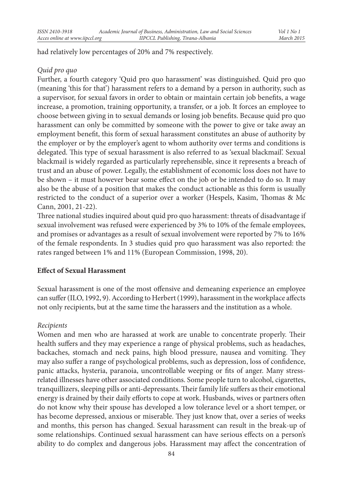had relatively low percentages of 20% and 7% respectively.

### *Quid pro quo*

Further, a fourth category 'Quid pro quo harassment' was distinguished. Quid pro quo (meaning 'this for that') harassment refers to a demand by a person in authority, such as a supervisor, for sexual favors in order to obtain or maintain certain job benefits, a wage increase, a promotion, training opportunity, a transfer, or a job. It forces an employee to choose between giving in to sexual demands or losing job benefits. Because quid pro quo harassment can only be committed by someone with the power to give or take away an employment benefit, this form of sexual harassment constitutes an abuse of authority by the employer or by the employer's agent to whom authority over terms and conditions is delegated. This type of sexual harassment is also referred to as 'sexual blackmail'. Sexual blackmail is widely regarded as particularly reprehensible, since it represents a breach of trust and an abuse of power. Legally, the establishment of economic loss does not have to be shown – it must however bear some effect on the job or be intended to do so. It may also be the abuse of a position that makes the conduct actionable as this form is usually restricted to the conduct of a superior over a worker (Hespels, Kasim, Thomas & Mc Cann, 2001, 21-22).

Three national studies inquired about quid pro quo harassment: threats of disadvantage if sexual involvement was refused were experienced by 3% to 10% of the female employees, and promises or advantages as a result of sexual involvement were reported by 7% to 16% of the female respondents. In 3 studies quid pro quo harassment was also reported: the rates ranged between 1% and 11% (European Commission, 1998, 20).

## **Effect of Sexual Harassment**

Sexual harassment is one of the most offensive and demeaning experience an employee can suffer (ILO, 1992, 9). According to Herbert (1999), harassment in the workplace affects not only recipients, but at the same time the harassers and the institution as a whole.

## *Recipients*

Women and men who are harassed at work are unable to concentrate properly. Their health suffers and they may experience a range of physical problems, such as headaches, backaches, stomach and neck pains, high blood pressure, nausea and vomiting. They may also suffer a range of psychological problems, such as depression, loss of confidence, panic attacks, hysteria, paranoia, uncontrollable weeping or fits of anger. Many stressrelated illnesses have other associated conditions. Some people turn to alcohol, cigarettes, tranquillizers, sleeping pills or anti-depressants. Their family life suffers as their emotional energy is drained by their daily efforts to cope at work. Husbands, wives or partners often do not know why their spouse has developed a low tolerance level or a short temper, or has become depressed, anxious or miserable. They just know that, over a series of weeks and months, this person has changed. Sexual harassment can result in the break-up of some relationships. Continued sexual harassment can have serious effects on a person's ability to do complex and dangerous jobs. Harassment may affect the concentration of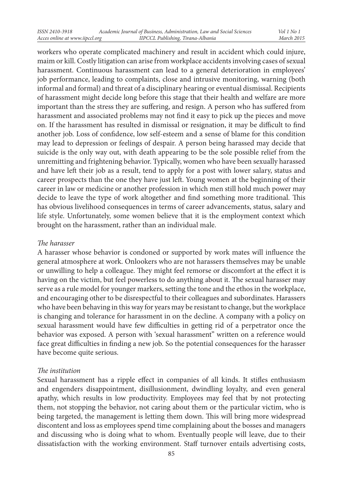workers who operate complicated machinery and result in accident which could injure, maim or kill. Costly litigation can arise from workplace accidents involving cases of sexual harassment. Continuous harassment can lead to a general deterioration in employees' job performance, leading to complaints, close and intrusive monitoring, warning (both informal and formal) and threat of a disciplinary hearing or eventual dismissal. Recipients of harassment might decide long before this stage that their health and welfare are more important than the stress they are suffering, and resign. A person who has suffered from harassment and associated problems may not find it easy to pick up the pieces and move on. If the harassment has resulted in dismissal or resignation, it may be difficult to find another job. Loss of confidence, low self-esteem and a sense of blame for this condition may lead to depression or feelings of despair. A person being harassed may decide that suicide is the only way out, with death appearing to be the sole possible relief from the unremitting and frightening behavior. Typically, women who have been sexually harassed and have left their job as a result, tend to apply for a post with lower salary, status and career prospects than the one they have just left. Young women at the beginning of their career in law or medicine or another profession in which men still hold much power may decide to leave the type of work altogether and find something more traditional. This has obvious livelihood consequences in terms of career advancements, status, salary and life style. Unfortunately, some women believe that it is the employment context which brought on the harassment, rather than an individual male.

#### *The harasser*

A harasser whose behavior is condoned or supported by work mates will influence the general atmosphere at work. Onlookers who are not harassers themselves may be unable or unwilling to help a colleague. They might feel remorse or discomfort at the effect it is having on the victim, but feel powerless to do anything about it. The sexual harasser may serve as a rule model for younger markers, setting the tone and the ethos in the workplace, and encouraging other to be disrespectful to their colleagues and subordinates. Harassers who have been behaving in this way for years may be resistant to change, but the workplace is changing and tolerance for harassment in on the decline. A company with a policy on sexual harassment would have few difficulties in getting rid of a perpetrator once the behavior was exposed. A person with 'sexual harassment" written on a reference would face great difficulties in finding a new job. So the potential consequences for the harasser have become quite serious.

## *The institution*

Sexual harassment has a ripple effect in companies of all kinds. It stifles enthusiasm and engenders disappointment, disillusionment, dwindling loyalty, and even general apathy, which results in low productivity. Employees may feel that by not protecting them, not stopping the behavior, not caring about them or the particular victim, who is being targeted, the management is letting them down. This will bring more widespread discontent and loss as employees spend time complaining about the bosses and managers and discussing who is doing what to whom. Eventually people will leave, due to their dissatisfaction with the working environment. Staff turnover entails advertising costs,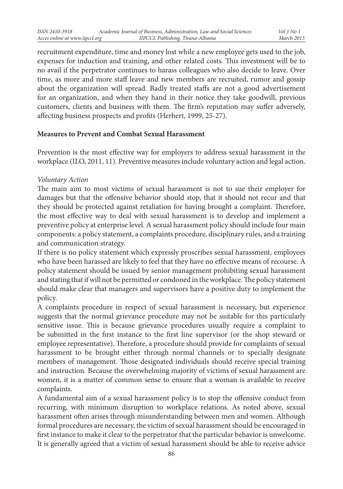recruitment expenditure, time and money lost while a new employee gets used to the job, expenses for induction and training, and other related costs. This investment will be to no avail if the perpetrator continues to harass colleagues who also decide to leave. Over time, as more and more staff leave and new members are recruited, rumor and gossip about the organization will spread. Badly treated staffs are not a good advertisement for an organization, and when they hand in their notice they take goodwill, previous customers, clients and business with them. The firm's reputation may suffer adversely, affecting business prospects and profits (Herbert, 1999, 25-27).

#### **Measures to Prevent and Combat Sexual Harassment**

Prevention is the most effective way for employers to address sexual harassment in the workplace (ILO, 2011, 11). Preventive measures include voluntary action and legal action.

#### *Voluntary Action*

The main aim to most victims of sexual harassment is not to sue their employer for damages but that the offensive behavior should stop, that it should not recur and that they should be protected against retaliation for having brought a complaint. Therefore, the most effective way to deal with sexual harassment is to develop and implement a preventive policy at enterprise level. A sexual harassment policy should include four main components: a policy statement, a complaints procedure, disciplinary rules, and a training and communication strategy.

If there is no policy statement which expressly proscribes sexual harassment, employees who have been harassed are likely to feel that they have no effective means of recourse. A policy statement should be issued by senior management prohibiting sexual harassment and stating that if will not be permitted or condoned in the workplace. The policy statement should make clear that managers and supervisors have a positive duty to implement the policy.

A complaints procedure in respect of sexual harassment is necessary, but experience suggests that the normal grievance procedure may not be suitable for this particularly sensitive issue. This is because grievance procedures usually require a complaint to be submitted in the first instance to the first line supervisor (or the shop steward or employee representative). Therefore, a procedure should provide for complaints of sexual harassment to be brought either through normal channels or to specially designate members of management. Those designated individuals should receive special training and instruction. Because the overwhelming majority of victims of sexual harassment are women, it is a matter of common sense to ensure that a woman is available to receive complaints.

A fundamental aim of a sexual harassment policy is to stop the offensive conduct from recurring, with minimum disruption to workplace relations. As noted above, sexual harassment often arises through misunderstanding between men and women. Although formal procedures are necessary, the victim of sexual harassment should be encouraged in first instance to make it clear to the perpetrator that the particular behavior is unwelcome. It is generally agreed that a victim of sexual harassment should be able to receive advice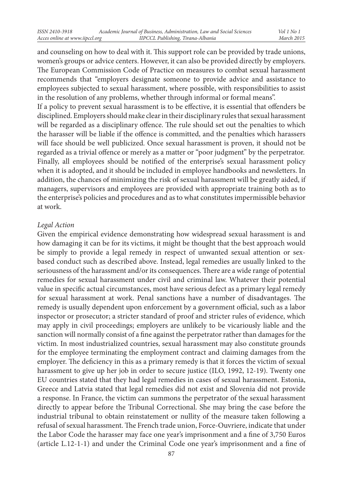and counseling on how to deal with it. This support role can be provided by trade unions, women's groups or advice centers. However, it can also be provided directly by employers. The European Commission Code of Practice on measures to combat sexual harassment recommends that "employers designate someone to provide advice and assistance to employees subjected to sexual harassment, where possible, with responsibilities to assist in the resolution of any problems, whether through informal or formal means".

If a policy to prevent sexual harassment is to be effective, it is essential that offenders be disciplined. Employers should make clear in their disciplinary rules that sexual harassment will be regarded as a disciplinary offence. The rule should set out the penalties to which the harasser will be liable if the offence is committed, and the penalties which harassers will face should be well publicized. Once sexual harassment is proven, it should not be regarded as a trivial offence or merely as a matter or "poor judgment" by the perpetrator. Finally, all employees should be notified of the enterprise's sexual harassment policy when it is adopted, and it should be included in employee handbooks and newsletters. In addition, the chances of minimizing the risk of sexual harassment will be greatly aided, if managers, supervisors and employees are provided with appropriate training both as to the enterprise's policies and procedures and as to what constitutes impermissible behavior at work.

#### *Legal Action*

Given the empirical evidence demonstrating how widespread sexual harassment is and how damaging it can be for its victims, it might be thought that the best approach would be simply to provide a legal remedy in respect of unwanted sexual attention or sexbased conduct such as described above. Instead, legal remedies are usually linked to the seriousness of the harassment and/or its consequences. There are a wide range of potential remedies for sexual harassment under civil and criminal law. Whatever their potential value in specific actual circumstances, most have serious defect as a primary legal remedy for sexual harassment at work. Penal sanctions have a number of disadvantages. The remedy is usually dependent upon enforcement by a government official, such as a labor inspector or prosecutor; a stricter standard of proof and stricter rules of evidence, which may apply in civil proceedings; employers are unlikely to be vicariously liable and the sanction will normally consist of a fine against the perpetrator rather than damages for the victim. In most industrialized countries, sexual harassment may also constitute grounds for the employee terminating the employment contract and claiming damages from the employer. The deficiency in this as a primary remedy is that it forces the victim of sexual harassment to give up her job in order to secure justice (ILO, 1992, 12-19). Twenty one EU countries stated that they had legal remedies in cases of sexual harassment. Estonia, Greece and Latvia stated that legal remedies did not exist and Slovenia did not provide a response. In France, the victim can summons the perpetrator of the sexual harassment directly to appear before the Tribunal Correctional. She may bring the case before the industrial tribunal to obtain reinstatement or nullity of the measure taken following a refusal of sexual harassment. The French trade union, Force-Ouvriere, indicate that under the Labor Code the harasser may face one year's imprisonment and a fine of 3,750 Euros (article L.12-1-1) and under the Criminal Code one year's imprisonment and a fine of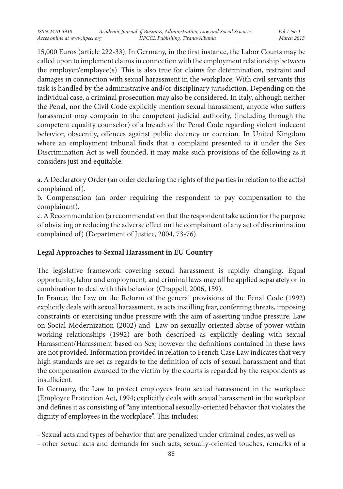15,000 Euros (article 222-33). In Germany, in the first instance, the Labor Courts may be called upon to implement claims in connection with the employment relationship between the employer/employee(s). This is also true for claims for determination, restraint and damages in connection with sexual harassment in the workplace. With civil servants this task is handled by the administrative and/or disciplinary jurisdiction. Depending on the individual case, a criminal prosecution may also be considered. In Italy, although neither the Penal, nor the Civil Code explicitly mention sexual harassment, anyone who suffers harassment may complain to the competent judicial authority, (including through the competent equality counselor) of a breach of the Penal Code regarding violent indecent behavior, obscenity, offences against public decency or coercion. In United Kingdom where an employment tribunal finds that a complaint presented to it under the Sex Discrimination Act is well founded, it may make such provisions of the following as it considers just and equitable:

a. A Declaratory Order (an order declaring the rights of the parties in relation to the act(s) complained of).

b. Compensation (an order requiring the respondent to pay compensation to the complainant).

c. A Recommendation (a recommendation that the respondent take action for the purpose of obviating or reducing the adverse effect on the complainant of any act of discrimination complained of) (Department of Justice, 2004, 73-76).

# **Legal Approaches to Sexual Harassment in EU Country**

The legislative framework covering sexual harassment is rapidly changing. Equal opportunity, labor and employment, and criminal laws may all be applied separately or in combination to deal with this behavior (Chappell, 2006, 159).

In France, the Law on the Reform of the general provisions of the Penal Code (1992) explicitly deals with sexual harassment, as acts instilling fear, conferring threats, imposing constraints or exercising undue pressure with the aim of asserting undue pressure. Law on Social Modernization (2002) and Law on sexually-oriented abuse of power within working relationships (1992) are both described as explicitly dealing with sexual Harassment/Harassment based on Sex; however the definitions contained in these laws are not provided. Information provided in relation to French Case Law indicates that very high standards are set as regards to the definition of acts of sexual harassment and that the compensation awarded to the victim by the courts is regarded by the respondents as insufficient.

In Germany, the Law to protect employees from sexual harassment in the workplace (Employee Protection Act, 1994; explicitly deals with sexual harassment in the workplace and defines it as consisting of "any intentional sexually-oriented behavior that violates the dignity of employees in the workplace". This includes:

- Sexual acts and types of behavior that are penalized under criminal codes, as well as

- other sexual acts and demands for such acts, sexually-oriented touches, remarks of a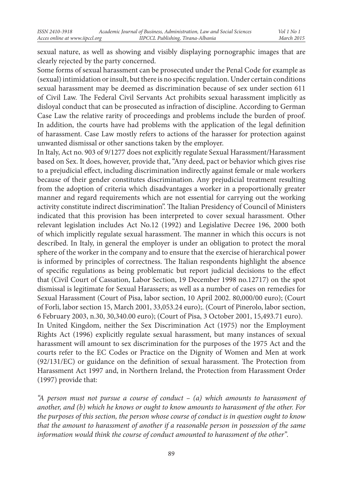sexual nature, as well as showing and visibly displaying pornographic images that are clearly rejected by the party concerned.

Some forms of sexual harassment can be prosecuted under the Penal Code for example as (sexual) intimidation or insult, but there is no specific regulation. Under certain conditions sexual harassment may be deemed as discrimination because of sex under section 611 of Civil Law. The Federal Civil Servants Act prohibits sexual harassment implicitly as disloyal conduct that can be prosecuted as infraction of discipline. According to German Case Law the relative rarity of proceedings and problems include the burden of proof. In addition, the courts have had problems with the application of the legal definition of harassment. Case Law mostly refers to actions of the harasser for protection against unwanted dismissal or other sanctions taken by the employer.

In Italy, Act no. 903 of 9/1277 does not explicitly regulate Sexual Harassment/Harassment based on Sex. It does, however, provide that, "Any deed, pact or behavior which gives rise to a prejudicial effect, including discrimination indirectly against female or male workers because of their gender constitutes discrimination. Any prejudicial treatment resulting from the adoption of criteria which disadvantages a worker in a proportionally greater manner and regard requirements which are not essential for carrying out the working activity constitute indirect discrimination". The Italian Presidency of Council of Ministers indicated that this provision has been interpreted to cover sexual harassment. Other relevant legislation includes Act No.12 (1992) and Legislative Decree 196, 2000 both of which implicitly regulate sexual harassment. The manner in which this occurs is not described. In Italy, in general the employer is under an obligation to protect the moral sphere of the worker in the company and to ensure that the exercise of hierarchical power is informed by principles of correctness. The Italian respondents highlight the absence of specific regulations as being problematic but report judicial decisions to the effect that (Civil Court of Cassation, Labor Section, 19 December 1998 no.12717) on the spot dismissal is legitimate for Sexual Harassers; as well as a number of cases on remedies for Sexual Harassment (Court of Pisa, labor section, 10 April 2002. 80,000/00 euro); (Court of Forli, labor section 15, March 2001, 33,053.24 euro);. (Court of Pinerolo, labor section, 6 February 2003, n.30, 30,340.00 euro); (Court of Pisa, 3 October 2001, 15,493.71 euro). In United Kingdom, neither the Sex Discrimination Act (1975) nor the Employment Rights Act (1996) explicitly regulate sexual harassment, but many instances of sexual harassment will amount to sex discrimination for the purposes of the 1975 Act and the courts refer to the EC Codes or Practice on the Dignity of Women and Men at work (92/131/EC) or guidance on the definition of sexual harassment. The Protection from Harassment Act 1997 and, in Northern Ireland, the Protection from Harassment Order (1997) provide that:

*"A person must not pursue a course of conduct – (a) which amounts to harassment of another, and (b) which he knows or ought to know amounts to harassment of the other. For the purposes of this section, the person whose course of conduct is in question ought to know that the amount to harassment of another if a reasonable person in possession of the same information would think the course of conduct amounted to harassment of the other".*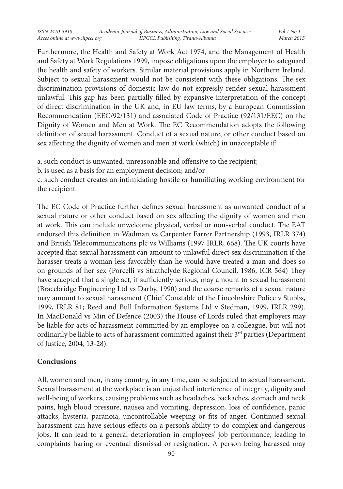Furthermore, the Health and Safety at Work Act 1974, and the Management of Health and Safety at Work Regulations 1999, impose obligations upon the employer to safeguard the health and safety of workers. Similar material provisions apply in Northern Ireland. Subject to sexual harassment would not be consistent with these obligations. The sex discrimination provisions of domestic law do not expressly render sexual harassment unlawful. This gap has been partially filled by expansive interpretation of the concept of direct discrimination in the UK and, in EU law terms, by a European Commission Recommendation (EEC/92/131) and associated Code of Practice (92/131/EEC) on the Dignity of Women and Men at Work. The EC Recommendation adopts the following definition of sexual harassment. Conduct of a sexual nature, or other conduct based on sex affecting the dignity of women and men at work (which) in unacceptable if:

a. such conduct is unwanted, unreasonable and offensive to the recipient;

b. is used as a basis for an employment decision; and/or

c. such conduct creates an intimidating hostile or humiliating working environment for the recipient.

The EC Code of Practice further defines sexual harassment as unwanted conduct of a sexual nature or other conduct based on sex affecting the dignity of women and men at work. This can include unwelcome physical, verbal or non-verbal conduct. The EAT endorsed this definition in Wadman vs Carpenter Farrer Partnership (1993, IRLR 374) and British Telecommunications plc vs Williams (1997 IRLR, 668). The UK courts have accepted that sexual harassment can amount to unlawful direct sex discrimination if the harasser treats a woman less favorably than he would have treated a man and does so on grounds of her sex (Porcelli vs Strathclyde Regional Council, 1986, ICR 564) They have accepted that a single act, if sufficiently serious, may amount to sexual harassment (Bracebridge Engineering Ltd vs Darby, 1990) and the coarse remarks of a sexual nature may amount to sexual harassment (Chief Constable of the Lincolnshire Police v Stubbs, 1999, IRLR 81; Reed and Bull Information Systems Ltd v Stedman, 1999, IRLR 299). In MacDonald vs Min of Defence (2003) the House of Lords ruled that employers may be liable for acts of harassment committed by an employee on a colleague, but will not ordinarily be liable to acts of harassment committed against their  $3<sup>rd</sup>$  parties (Department of Justice, 2004, 13-28).

## **Conclusions**

All, women and men, in any country, in any time, can be subjected to sexual harassment. Sexual harassment at the workplace is an unjustified interference of integrity, dignity and well-being of workers, causing problems such as headaches, backaches, stomach and neck pains, high blood pressure, nausea and vomiting, depression, loss of confidence, panic attacks, hysteria, paranoia, uncontrollable weeping or fits of anger. Continued sexual harassment can have serious effects on a person's ability to do complex and dangerous jobs. It can lead to a general deterioration in employees' job performance, leading to complaints haring or eventual dismissal or resignation. A person being harassed may